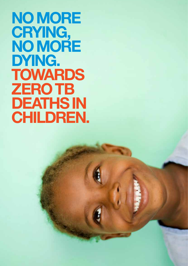**NO MORE CRYING, NO MORE DYING. Towards zero TB deaths in CHILDREN.**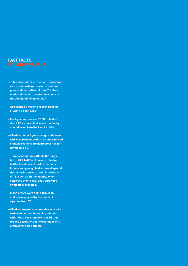# **Fast facts**

- **Tuberculosis (TB) is often not considered as a possible diagnosis and therefore goes undetected in children. This has made it difficult to assess the scope of the childhood TB epidemic.**<sup>1</sup>
- **At least half a million children become ill with TB each year.**<sup>2</sup>
- **Each year as many as 70 000**<sup>3</sup> **children die of TB - a curable disease that today should never take the life of a child.**
- **Children under 3 years of age and those with severe malnutrition or compromised immune systems are at greatest risk for developing TB.**
- **TB most commonly affects the lungs, but in 20% to 30% of cases in children it affects a different part of the body. Infants and young children are at special risk of having severe, often fatal forms of TB, such as TB meningitis, which can leave them blind, deaf, paralyzed or mentally disabled.**
- **In 2010 there were some 10 million children orphaned by the death of a parent from TB.**
- **Children are just as vulnerable as adults to developing—or becoming infected with—drug-resistant forms of TB that require a lengthy, costly treatment with often severe side effects.**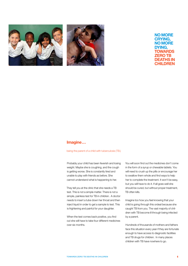



**NO MORE CRYING, NO MORE DYING. Towards zero TB deaths in children**

### **Imagine…**

#### being the parent of a child with tuberculosis (TB.)

Probably your child has been feverish and losing weight. Maybe she is coughing, and the cough is getting worse. She is constantly tired and unable to play with friends as before. She cannot understand what is happening to her.

They tell you at the clinic that she needs a TB test. This is not a simple matter. There is not a simple, painless test for TB in children. A doctor needs to insert a tube down her throat and then inject liquid in order to get a sample to test. This is frightening and painful for your daughter.

When the test comes back positive, you find out she will have to take four different medicines over six months.

You will soon find out the medicines don't come in the form of a syrup or chewable tablets. You will need to crush up the pills or encourage her to swallow them whole and find ways to help her to complete the treatment. It won't be easy, but you will have to do it. If all goes well she should be cured, but without proper treatment, TB often kills.

Imagine too how you feel knowing that your child is going through this ordeal because she caught TB from you. The vast majority of children with TB become ill through being infected by a parent.

Hundreds of thousands of mothers and fathers face this situation every year if they are fortunate enough to have access to diagnostic facilities and TB drugs for children. In many places children with TB have nowhere to go.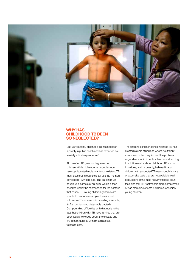

### **Why has childhood TB been so neglected?**

Until very recently childhood TB has not been a priority in public health and has remained essentially a hidden pandemic.<sup>4</sup>

All too often TB goes undiagnosed in children. While high-income countries now use sophisticated molecular tests to detect TB, most developing countries still use the method developed 130 years ago. The patient must cough up a sample of sputum, which is then checked under the microscope for the bacteria that cause TB. Young children generally are unable to produce a sample. Even if a child with active TB succeeds in providing a sample, it often contains no detectable bacteria. Compounding difficulties with diagnosis is the fact that children with TB have families that are poor, lack knowledge about the disease and live in communities with limited access to health care.

The challenge of diagnosing childhood TB has created a cycle of neglect, where insufficient awareness of the magnitude of the problem engenders a lack of public attention and funding. In addition myths about childhood TB abound. It is widely, and incorrectly, believed that all children with suspected TB need specialty care or expensive tests that are not available to all populations in the most heavily affected countries; and that TB treatment is more complicated or has more side effects in children, especially young children.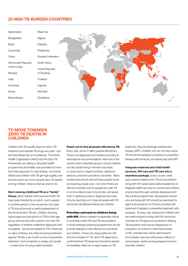### **22 high TB-burden countries**



### **To move towards zero TB deaths in children**

Children with TB usually respond well to TB treatment and tolerate TB drugs very well—but first their illness has to be detected. The World Health Organization (WHO) and the Stop TB Partnership are calling on all public health programmes and health care providers to transform their approach to case finding—so that all infants and children with TB get high-quality care and the world can move towards zero TB deaths among children. Here is what we need to do.

#### **Start viewing childhood TB as a "family"**

**illness.** Most children who become ill with TB have been infected by an adult—be it a parent or another person in the household. Any case of TB should prompt a careful assessment of the whole family's TB risk. Children showing typical signs and symptoms of TB for their age group and who live with a person who has TB regardless of whether a definitive diagnostic test is available - should be treated for TB. If there are no signs of illness, the child should be protected against TB with a six-month course of preventive treatment. Such protection is cheap and simple —a daily dose of a drug called isoniazid.

#### **Reach out to find all people affected by TB.**

Every year, some 3 million people affected by TB are not diagnosed and treated according to international recommendations. Most are in the world's most vulnerable groups: not just children but also adults living in remote rural areas or urban slums, migrant workers, displaced persons, prisoners and ethnic minorities. Many studies have shown that all those people could be receiving proper care—but only if there are efforts to actively look for people sick with TB in communities known to be at risk, and assist them in getting access to diagnosis and care. Only by reaching out to help all people with TB will we find all affected infants and children.

#### Prioritize outreach in children living

with HIV. Active outreach is especially critical in countries where HIV and TB are prevalent. In those settings screening programmes should provide testing for both infections to all infants and children. Those who test positive for HIV should be tested for TB, and if TB diagnosis is confirmed then TB treatment should be started immediately. After two to eight weeks on TB

treatment, they should begin antiretroviral therapy (ART). Children who do not have active TB should immediately be started on preventive therapy with isoniazid, simultaneously with ART.

#### **Integrate maternal and child health services, HIV care and TB care into a seamless package.** Every country seek-

ing to prevent deaths from TB among children living with HIV needs bold political leadership to integrate health services for women and children at every level through carefully developed and fully funded programmes. All pregnant women who are living with HIV should be examined for signs and symptoms of TB and provided with treatment if needed or preventive treatment with isoniazid. At every visit, babies and children who are malnourished or living with HIV should be checked for TB signs and symptoms. Making TB prevention and care an integral part of prevention of mother-to-child transmission of HIV, prenatal care, family planning and immunization services will prevent millions of unnecessary deaths among pregnant women and their children.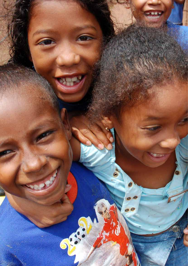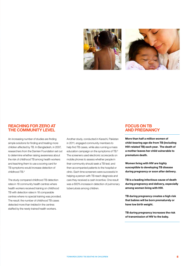

### **Reaching for zero at the community level**

An increasing number of studies are finding simple solutions for finding and treating more children affected by TB. In Bangladesh, in 2007, researchers from the Damien Foundation set out to determine whether raising awareness about the risk of childhood TB among health workers and teaching them to use a scoring card for TB symptoms would increase detection of childhood TB.<sup>5</sup>

The study compared childhood TB detection rates in 18 community health centres where health workers received training on childhood TB with detection rates in 18 comparable centres where no special training was provided. The result: the number of childhood TB cases detected more than trebled in the centres staffed by the newly trained health workers.

Another study, conducted in Karachi, Pakistan in 2011, engaged community members to help find TB cases, while also running a mass education campaign on the symptoms of TB.<sup>6</sup> The screeners used electronic scorecards on mobile phones to assess whether people in their community should seek a TB test; and then accompanied patients to the hospital or clinic. Each time screeners were successful in helping a person with TB reach diagnosis and care they received a cash incentive. One result was a 600% increase in detection of pulmonary tuberculosis among children.

### **Focus on TB and Pregnancy**

**More than half a million women of child-bearing age die from TB (including HIV-related TB) each year. The death of a mother leaves her child vulnerable to premature death.**

**Women living with HIV are highly susceptible to developing TB disease during pregnancy or soon after delivery.**

**TB is a leading infectious cause of death during pregnancy and delivery, especially among women living with HIV.**

**TB during pregnancy creates a high risk that babies will be born prematurely or have low birth weight.** 

**TB during pregnancy increases the risk of transmission of HIV to the baby.**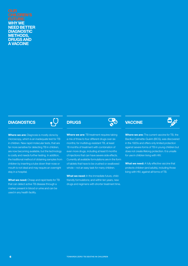# **Why we need better diagnostic methods, drugs and a vaccine**

### **Diagnostics Drugs Vaccine**

**Where we are:** Diagnosis is mostly done by microscopy, which is an inadequate test for TB in children. New rapid molecular tests, that are far more sensitive for detecting TB in children, are now becoming available, but the technology is costly and needs further testing. In addition, the traditional method of obtaining samples from children by inserting a tube down their nose or mouth is not ideal and may require an overnight stay in a hospital.

**What we need:** Cheap and rapid tests for TB that can detect active TB disease through a marker present in blood or urine and can be used in any health facility.

**Where we are: TB treatment requires taking** a mix of three to four different drugs over six months; for multidrug-resistant TB, at least 18 months of treatment with combination of even more drugs, including at least 6 months of injections that can have severe side effects. Currently all available formulations are in the form of tablets that have to be crushed or swallowed whole—not an easy task for many children.

**What we need:** In the immediate future, childfriendly formulations; and within ten years, new drugs and regimens with shorter treatment time.

**Where we are:** The current vaccine for TB, the Bacillus Calmette-Guérin (BCG), was discovered in the 1920s and offers only limited protection against severe forms of TB in young children but does not create lifelong protection. It is unsafe for use in children living with HIV.

**What we need:** A fully effective vaccine that protects children (and adults), including those living with HIV, against all forms of TB.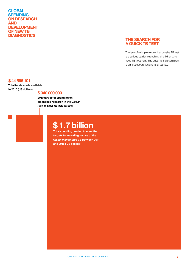### **Global spending ON RESEARCH and Development of new TB diagnostics**

### **THE SEARCH FOR A QUICK TB TEST**

The lack of a simple-to-use, inexpensive TB test is a serious barrier to reaching all children who need TB treatment. The quest to find such a test is on, but current funding is far too low.

### **\$ 44 566 101**

**Total funds made available in 2010 (US dollars)**

### **\$ 340 000 000**

**2010 target for spending on diagnostic research in the** *Global Plan to Stop TB* **(US dollars)** 

# **\$ 1.7 billion**

**Total spending needed to meet the targets for new diagnostics of the**  *Global Plan to Stop TB* **between 2011 and 2015 ( US dollars)**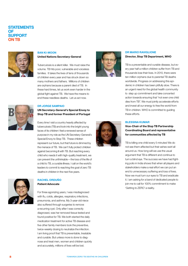### **Statements of support on TB**



#### **Ban Ki-moon United Nations Secretary-General**

Tuberculosis is a silent killer. We must raise the volume. TB hits poor, vulnerable and voiceless families. It takes the lives of tens of thousands of children every year and has struck down so many mothers and fathers. Millions of children are orphans because a parent died of TB. In these hard times, let us work even harder in the global fight against TB. We have the means to end these needless deaths. Let us act now.



#### **DR Jorge Sampaio**

**UN Secretary-General's Special Envoy to Stop TB and former President of Portugal**

Every time I visit a country heavily affected by tuberculosis (TB) and look into the bright young faces of its children I feel a renewed sense of purpose in my role as the UN Secretary-General's Special Envoy to Stop TB. These children represent our future, but that future is dimmed by the menace of TB. We can't fully protect children against becoming ill with TB. But reaching every child who needs it with high-quality treatment, we can prevent the unthinkable—the loss of the life of a child to TB, a curable illness. I call on the world's leaders to commit to reaching the goal of zero TB deaths in children in the next five years.



### **Dr Mario Raviglione**

#### **Director, Stop TB Department, WHO**

TB is a preventable and curable disease, but every year half a million children suffer from TB and thousands lose their lives. In 2010, there were ten million orphans due to parental TB deaths worldwide. Progress on addressing this epidemic in children has been pitifully slow. There is an urgent need for the global health community to step up commitment and take concerted action towards ensuring that "not even one child dies from TB". We must jointly accelerate efforts and invest all our energy to free the world from TB in children. WHO is committed to guiding these efforts.

#### **Blessina Kumar**

### **Vice-Chair of the Stop TB Partnership Coordinating Board and representative for communities affected by TB**

TB is killing one child every 5 minutes! We do not see them affected but their ashes swirl all around us. How long will we use the usual argument that TB is different and continue to turn a blind eye. The success we have had fighting polio in India shows that when all players and stakeholders make a real effort we can put an end to unnecessary suffering and loss of lives. Now we must turn our eyes to TB and eradicate it. I am asking for a band of dedicated people to join me to call for 100% commitment to make 'Getting to ZERO' a reality.



### **Rachel Orduño Patient Advocate**

For three agonizing years, I was misdiagnosed with flu, colds, allergies, respiratory infections, pneumonia, and asthma. My 3-year-old niece also suffered through surgeries to remove a recurring cyst. Only after I was correctly diagnosed, was her removed tissue tested and found positive for TB. We both started the daily medication treatment for active TB disease and five other family members took the preventive, twice-weekly dosing to neutralize the infection. I am living proof that TB is preventable, treatable and curable. But unless more is done to diagnose and treat men, women and children quickly and accurately, millions of lives will be lost.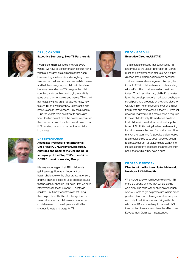

#### **Dr Lucica Ditiu**

**Executive Secretary, Stop TB Partnership**

I wish to send a message to mothers everywhere. We have all gone thorough difficult nights when our children are sick and cannot sleep because they are feverish and coughing. They toss and turn in their beds and we feel desperate and helpless. Imagine your child is in this state because he or she has TB. Imagine the child coughing and coughing and crying—and this goes on and on for weeks and weeks. TB should not make any child suffer or die. We know how to cure TB and we know how to prevent it, and both are cheap interventions. Any child dying of TB in the year 2012 is an affront to our civilization. Children do not have the power to speak for themselves or push for action. We all have to do it! Otherwise, none of us can look our children in the eyes.



#### **Dr Steve Graham**

**Associate Professor of International Child Health, University of Melbourne, Australia and Chair of the Childhood TB sub-group of the Stop TB Partnership's DOTS Expansion Working Group**

It is very encouraging that TB in children is gaining recognition as an important public health challenge worthy of far greater attention. and this change positions us to address issues that have languished up until now. First, we have interventions that can prevent TB deaths in children—but many countries are not using them in practice. That has to change. Second, we must ensure that children are included in crucial research to develop new and better diagnostic tests and drugs for TB.



#### **DR Denis Broun Executive Director, UNITAID**

TB is a curable disease that continues to kill, largely due to the lack of innovation in TB treatment and low demand in markets. As in other disease areas, children's treatment needs for TB have been under-recognized. And yet, the impact of TB in children is real and devastating, with half a million children needing treatment today. To address this gap, UNITAID has catalyzed the development of a market for quality-assured paediatric products by providing close to US \$10 million for the supply of over one million treatments and by investing in the WHO Prequalification Programme. But more action is required to make child-friendly TB medicines available to all children in need, at low cost and supplied faster. UNITAID is taking the lead in developing tools to measure the need for products and the market shortcomings for paediatric diagnostics and medicines so as to boost targeted action and better support all stakeholders working to increase children's access to the products they need and to which they have a right.



#### **Dr Carole Presern**

### **Director of the Partnership for Maternal, Newborn & Child Health**

When pregnant women become sick with TB there is a strong chance they will die during childbirth. The risks to their children are equally severe. Some might be premature; others are at greater risk of low birth weight and subsequent mortality. In addition, mothers living with HIV who have TB are more likely to transmit HIV to their babies. If we are to achieve the Millennium Development Goals we must act now.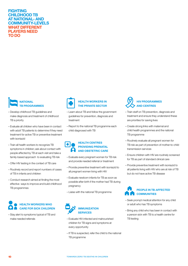### **Fighting childhood TB at national- and community-levels What different players need to do**

### **National TB programmes**

- Develop childhood TB guidelines and make diagnosis and treatment of childhood TB a priority
- Evaluate all children who have been in contact with adult TB patients to determine if they need treatment for active TB or preventive treatment with isoniazid
- Train all health workers to recognize TB symptoms in children; ask about contact with people affected by TB at each visit and take a family-based approach to evaluating TB risk
- Offer HIV testing in the context of TB care
- Routinely record and report numbers of cases of TB in infants and children
- Conduct research aimed at finding the most effective ways to improve and build childhood TB programmes

## **Health workers who care for sick children**

– Stay alert to symptoms typical of TB and make needed referrals

| <b>HEAI</b> |
|-------------|
| THE I       |

### **TH WORKERS IN the private sector**

- Learn about TB and follow the government guidelines for prevention, diagnosis and treatment
- Report to the national TB programme each child diagnosed with TB

### **Health centres providing prenatal and obstetric care**

- Evaluate every pregnant woman for TB risk and provide needed referral or treatment
- Provide preventive treatment with isoniazid to all pregnant women living with HIV
- Evaluate newborn infants for TB as soon as possible after birth if the mother had TB during pregnancy
- Liaise with the national TB programme



- Evaluate HIV-infected and malnourished children for TB signs and symptoms at every opportunity
- If TB is suspected, refer the child to the national TB programme



- Train staff on TB prevention, diagnosis and treatment and ensure they understand these are priorities for saving lives
- Create strong links with maternal and child health programmes and the national TB programme
- Routinely evaluate all pregnant women for TB risk as part of prevention of mother-to-child transmission services
- Ensure children with HIV are routinely screened for TB as part of standard clinical care
- Provide preventive treatment with isoniazid to all patients living with HIV who are at risk of TB but do not have active TB disease

### **People in TB-affected COMMUNITIES**

- Seek prompt medical attention for any child or adult who has TB symptoms
- Bring any child who has been in contact with a person sick with TB to a health centre for TB testing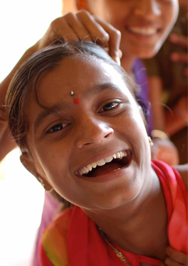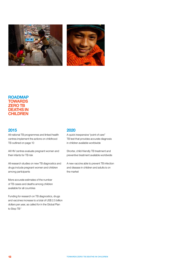



### **roadmap Towards zero TB deaths in CHILDREN**

### **2015**

All national TB programmes and linked health centres implement the actions on childhood TB outlined on page 10

All HIV centres evaluate pregnant women and their infants for TB risk

All research studies on new TB diagnostics and drugs include pregnant women and children among participants

More accurate estimates of the number of TB cases and deaths among children available for all countries

Funding for research on TB diagnostics, drugs and vaccines increase to a total of US\$ 2.5 billion dollars per year, as called for in the Global Plan to Stop TB<sup>7</sup>

### **2020**

A quick inexpensive "point of care" TB test that provides accurate diagnosis in children available worldwide

Shorter, child-friendly TB treatment and preventive treatment available worldwide

A new vaccine able to prevent TB infection and disease in children and adults is on the market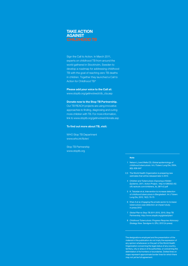## **TAKE ACTION AGAINST**

Sign the Call to Action. In March 2011, experts on childhood TB from around the world gathered in Stockholm, Sweden to develop a roadmap for addressing childhood TB with the goal of reaching zero TB deaths in children. Together they launched a Call to Action for Childhood TB<sup>8</sup>

#### **Please add your voice to the Call at:**

www.stoptb.org/getinvolved/ctb\_cta.asp

#### **Donate now to the Stop TB Partnership.**

Our TB REACH projects are using innovative approaches to finding, diagnosing and curing more children with TB. For more information, link to www.stoptb.org/getinvolved/donate.asp

#### **To find out more about TB, visit:**

WHO Stop TB Department www.who.int/tb/en/

Stop TB Partnership www.stoptb.org

#### **Note**

- 1 Nelson LJ and Wells CD, *Global epidemiology of childhood tuberculosis.* Int J Tuberc Lung Dis, 2004, 8(5): 636-647
- 2,3 The World Health Organization is preparing new estimates that will be released later in 2012.
- 4 *Children and Tuberculosis: Exposing a Hidden Epidemic,* 2011, Action Project, http://c1280352.r52. cf0.rackcdn.com/childrens\_tb\_0811v2.pdf
- 5 K. Talukder et al, *Intervention to increase detection of childhood tuberculosis in Bangladesh.* Int J Tuberc Lung Dis, 2012, 16(1): 70-75
- 6 Khan A et al, *Engaging the private sector to increase tuberculosis case detection: an impact study,* in press 2012
- 7 *Global Plan to Stop TB 2011-2015,* 2010, Stop TB Partnership, http://www.stoptb.org/global/plan/
- 8 *Childhood Tuberculosis: Progress Requires Advocacy Strategy Now.* Sandgren A, ERJ, 2012 (In press)

The designations employed and the presentation of the material in this publication do not imply the expression of any opinion whatsoever on the part of the World Health Organization concerning the legal status of any country, territory, city or area or of its authorities, or concerning the delimitation of its frontiers or boundaries. Dotted lines on maps represent approximate border lines for which there may not yet be full agreement.